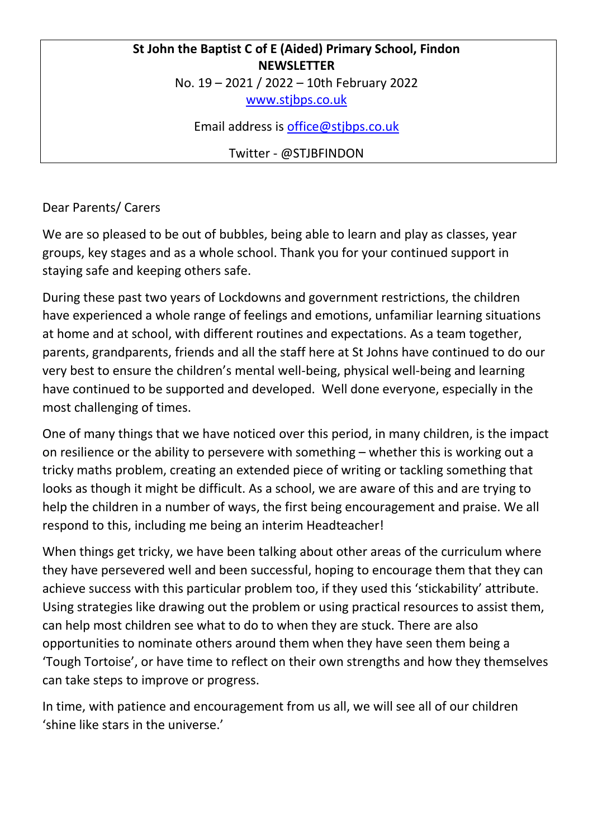## **St John the Baptist C of E (Aided) Primary School, Findon NEWSLETTER** No. 19 – 2021 / 2022 – 10th February 2022

[www.stjbps.co.uk](http://www.stjbps.co.uk/)

Email address is [office@stjbps.co.uk](mailto:office@stjbps.co.uk)

Twitter - @STJBFINDON

Dear Parents/ Carers

We are so pleased to be out of bubbles, being able to learn and play as classes, year groups, key stages and as a whole school. Thank you for your continued support in staying safe and keeping others safe.

During these past two years of Lockdowns and government restrictions, the children have experienced a whole range of feelings and emotions, unfamiliar learning situations at home and at school, with different routines and expectations. As a team together, parents, grandparents, friends and all the staff here at St Johns have continued to do our very best to ensure the children's mental well-being, physical well-being and learning have continued to be supported and developed. Well done everyone, especially in the most challenging of times.

One of many things that we have noticed over this period, in many children, is the impact on resilience or the ability to persevere with something – whether this is working out a tricky maths problem, creating an extended piece of writing or tackling something that looks as though it might be difficult. As a school, we are aware of this and are trying to help the children in a number of ways, the first being encouragement and praise. We all respond to this, including me being an interim Headteacher!

When things get tricky, we have been talking about other areas of the curriculum where they have persevered well and been successful, hoping to encourage them that they can achieve success with this particular problem too, if they used this 'stickability' attribute. Using strategies like drawing out the problem or using practical resources to assist them, can help most children see what to do to when they are stuck. There are also opportunities to nominate others around them when they have seen them being a 'Tough Tortoise', or have time to reflect on their own strengths and how they themselves can take steps to improve or progress.

In time, with patience and encouragement from us all, we will see all of our children 'shine like stars in the universe.'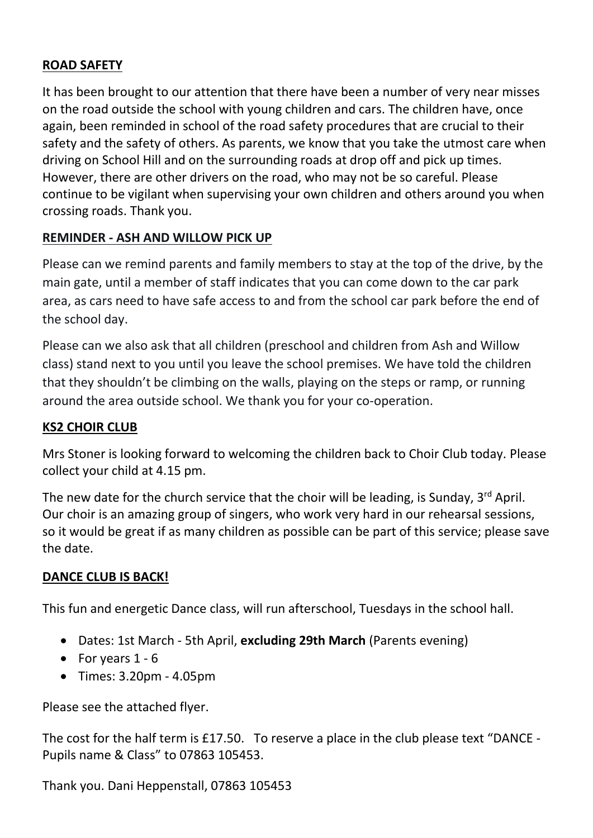## **ROAD SAFETY**

It has been brought to our attention that there have been a number of very near misses on the road outside the school with young children and cars. The children have, once again, been reminded in school of the road safety procedures that are crucial to their safety and the safety of others. As parents, we know that you take the utmost care when driving on School Hill and on the surrounding roads at drop off and pick up times. However, there are other drivers on the road, who may not be so careful. Please continue to be vigilant when supervising your own children and others around you when crossing roads. Thank you.

## **REMINDER - ASH AND WILLOW PICK UP**

Please can we remind parents and family members to stay at the top of the drive, by the main gate, until a member of staff indicates that you can come down to the car park area, as cars need to have safe access to and from the school car park before the end of the school day.

Please can we also ask that all children (preschool and children from Ash and Willow class) stand next to you until you leave the school premises. We have told the children that they shouldn't be climbing on the walls, playing on the steps or ramp, or running around the area outside school. We thank you for your co-operation.

## **KS2 CHOIR CLUB**

Mrs Stoner is looking forward to welcoming the children back to Choir Club today. Please collect your child at 4.15 pm.

The new date for the church service that the choir will be leading, is Sunday,  $3^{rd}$  April. Our choir is an amazing group of singers, who work very hard in our rehearsal sessions, so it would be great if as many children as possible can be part of this service; please save the date.

## **DANCE CLUB IS BACK!**

This fun and energetic Dance class, will run afterschool, Tuesdays in the school hall.

- Dates: 1st March 5th April, **excluding 29th March** (Parents evening)
- For years  $1 6$
- Times: 3.20pm 4.05pm

Please see the attached flyer.

The cost for the half term is £17.50. To reserve a place in the club please text "DANCE - Pupils name & Class" to 07863 105453.

Thank you. Dani Heppenstall, 07863 105453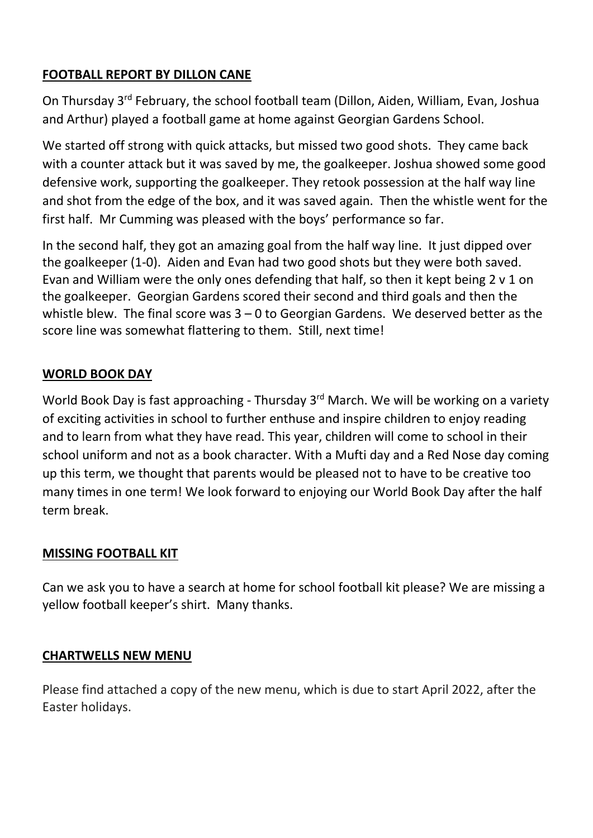# **FOOTBALL REPORT BY DILLON CANE**

On Thursday 3rd February, the school football team (Dillon, Aiden, William, Evan, Joshua and Arthur) played a football game at home against Georgian Gardens School.

We started off strong with quick attacks, but missed two good shots. They came back with a counter attack but it was saved by me, the goalkeeper. Joshua showed some good defensive work, supporting the goalkeeper. They retook possession at the half way line and shot from the edge of the box, and it was saved again. Then the whistle went for the first half. Mr Cumming was pleased with the boys' performance so far.

In the second half, they got an amazing goal from the half way line. It just dipped over the goalkeeper (1-0). Aiden and Evan had two good shots but they were both saved. Evan and William were the only ones defending that half, so then it kept being 2 v 1 on the goalkeeper. Georgian Gardens scored their second and third goals and then the whistle blew. The final score was  $3 - 0$  to Georgian Gardens. We deserved better as the score line was somewhat flattering to them. Still, next time!

# **WORLD BOOK DAY**

World Book Day is fast approaching - Thursday 3<sup>rd</sup> March. We will be working on a variety of exciting activities in school to further enthuse and inspire children to enjoy reading and to learn from what they have read. This year, children will come to school in their school uniform and not as a book character. With a Mufti day and a Red Nose day coming up this term, we thought that parents would be pleased not to have to be creative too many times in one term! We look forward to enjoying our World Book Day after the half term break.

## **MISSING FOOTBALL KIT**

Can we ask you to have a search at home for school football kit please? We are missing a yellow football keeper's shirt. Many thanks.

#### **CHARTWELLS NEW MENU**

Please find attached a copy of the new menu, which is due to start April 2022, after the Easter holidays.